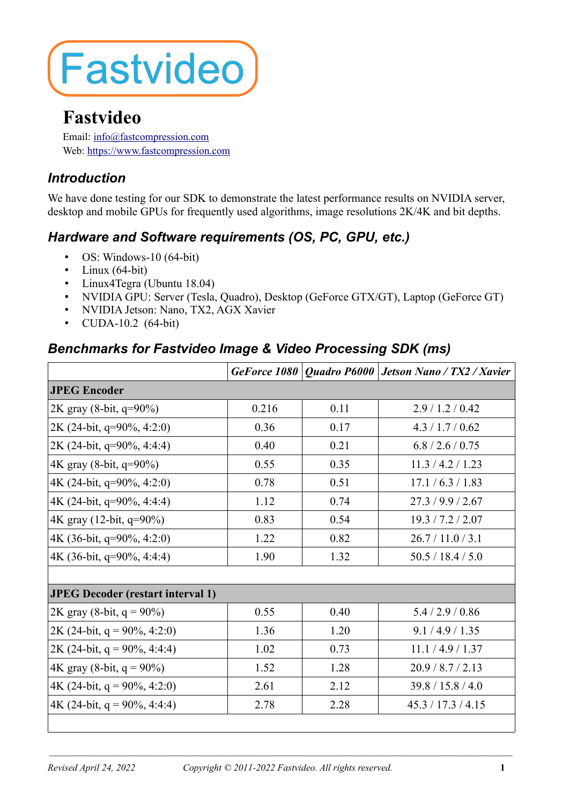# **Fastvideo**

# **Fastvideo**

Email: [info@fastcompression.com](mailto:info@fastcompression.com) Web: [https://w](http://www.fastcompression.com/)ww.fastcompression.com

### *Introduction*

We have done testing for our SDK to demonstrate the latest performance results on NVIDIA server, desktop and mobile GPUs for frequently used algorithms, image resolutions 2K/4K and bit depths.

## *Hardware and Software requirements (OS, PC, GPU, etc.)*

- OS: Windows-10 (64-bit)
- Linux  $(64-bit)$
- Linux4Tegra (Ubuntu 18.04)
- NVIDIA GPU: Server (Tesla, Quadro), Desktop (GeForce GTX/GT), Laptop (GeForce GT)
- NVIDIA Jetson: Nano, TX2, AGX Xavier
- CUDA-10.2 (64-bit)

#### *Benchmarks for Fastvideo Image & Video Processing SDK (ms)*

|                                          |       |      | GeForce 1080   Quadro P6000   Jetson Nano / TX2 / Xavier |  |  |
|------------------------------------------|-------|------|----------------------------------------------------------|--|--|
| <b>JPEG Encoder</b>                      |       |      |                                                          |  |  |
| 2K gray (8-bit, q=90%)                   | 0.216 | 0.11 | 2.9/1.2/0.42                                             |  |  |
| 2K (24-bit, q=90%, 4:2:0)                | 0.36  | 0.17 | 4.3 / 1.7 / 0.62                                         |  |  |
| 2K (24-bit, $q=90\%$ , 4:4:4)            | 0.40  | 0.21 | 6.8 / 2.6 / 0.75                                         |  |  |
| 4K gray (8-bit, q=90%)                   | 0.55  | 0.35 | 11.3 / 4.2 / 1.23                                        |  |  |
| 4K (24-bit, $q=90\%$ , 4:2:0)            | 0.78  | 0.51 | 17.1 / 6.3 / 1.83                                        |  |  |
| 4K (24-bit, $q=90\%$ , 4:4:4)            | 1.12  | 0.74 | 27.3/9.9/2.67                                            |  |  |
| 4K gray (12-bit, q=90%)                  | 0.83  | 0.54 | 19.3 / 7.2 / 2.07                                        |  |  |
| 4K (36-bit, q=90%, 4:2:0)                | 1.22  | 0.82 | 26.7/11.0/3.1                                            |  |  |
| 4K (36-bit, $q=90\%$ , 4:4:4)            | 1.90  | 1.32 | 50.5 / 18.4 / 5.0                                        |  |  |
|                                          |       |      |                                                          |  |  |
| <b>JPEG Decoder (restart interval 1)</b> |       |      |                                                          |  |  |
| 2K gray (8-bit, $q = 90\%$ )             | 0.55  | 0.40 | 5.4 / 2.9 / 0.86                                         |  |  |
| 2K (24-bit, $q = 90\%, 4:2:0$ )          | 1.36  | 1.20 | 9.1 / 4.9 / 1.35                                         |  |  |
| 2K (24-bit, $q = 90\%, 4:4:4$ )          | 1.02  | 0.73 | 11.1 / 4.9 / 1.37                                        |  |  |
| 4K gray (8-bit, $q = 90\%$ )             | 1.52  | 1.28 | 20.9/8.7/2.13                                            |  |  |
| 4K (24-bit, $q = 90\%, 4:2:0$ )          | 2.61  | 2.12 | 39.8 / 15.8 / 4.0                                        |  |  |
| 4K (24-bit, $q = 90\%$ , 4:4:4)          | 2.78  | 2.28 | 45.3 / 17.3 / 4.15                                       |  |  |
|                                          |       |      |                                                          |  |  |

 $\mathcal{L}_\mathcal{L} = \mathcal{L}_\mathcal{L} = \mathcal{L}_\mathcal{L} = \mathcal{L}_\mathcal{L} = \mathcal{L}_\mathcal{L} = \mathcal{L}_\mathcal{L} = \mathcal{L}_\mathcal{L} = \mathcal{L}_\mathcal{L} = \mathcal{L}_\mathcal{L} = \mathcal{L}_\mathcal{L} = \mathcal{L}_\mathcal{L} = \mathcal{L}_\mathcal{L} = \mathcal{L}_\mathcal{L} = \mathcal{L}_\mathcal{L} = \mathcal{L}_\mathcal{L} = \mathcal{L}_\mathcal{L} = \mathcal{L}_\mathcal{L}$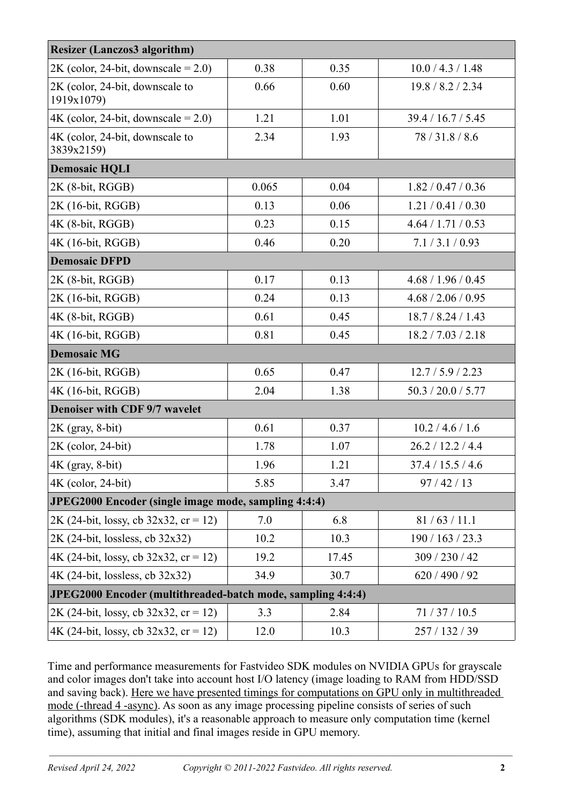| <b>Resizer (Lanczos3 algorithm)</b>                         |       |       |                    |  |  |
|-------------------------------------------------------------|-------|-------|--------------------|--|--|
| $2K$ (color, 24-bit, downscale = 2.0)                       | 0.38  | 0.35  | 10.0 / 4.3 / 1.48  |  |  |
| 2K (color, 24-bit, downscale to<br>1919x1079)               | 0.66  | 0.60  | 19.8 / 8.2 / 2.34  |  |  |
| $4K$ (color, 24-bit, downscale = 2.0)                       | 1.21  | 1.01  | 39.4 / 16.7 / 5.45 |  |  |
| 4K (color, 24-bit, downscale to<br>3839x2159)               | 2.34  | 1.93  | 78/31.8/8.6        |  |  |
| <b>Demosaic HQLI</b>                                        |       |       |                    |  |  |
| 2K (8-bit, RGGB)                                            | 0.065 | 0.04  | 1.82 / 0.47 / 0.36 |  |  |
| 2K (16-bit, RGGB)                                           | 0.13  | 0.06  | 1.21 / 0.41 / 0.30 |  |  |
| 4K (8-bit, RGGB)                                            | 0.23  | 0.15  | 4.64 / 1.71 / 0.53 |  |  |
| 4K (16-bit, RGGB)                                           | 0.46  | 0.20  | 7.1 / 3.1 / 0.93   |  |  |
| <b>Demosaic DFPD</b>                                        |       |       |                    |  |  |
| 2K (8-bit, RGGB)                                            | 0.17  | 0.13  | 4.68 / 1.96 / 0.45 |  |  |
| 2K (16-bit, RGGB)                                           | 0.24  | 0.13  | 4.68 / 2.06 / 0.95 |  |  |
| 4K (8-bit, RGGB)                                            | 0.61  | 0.45  | 18.7 / 8.24 / 1.43 |  |  |
| 4K (16-bit, RGGB)                                           | 0.81  | 0.45  | 18.2 / 7.03 / 2.18 |  |  |
| <b>Demosaic MG</b>                                          |       |       |                    |  |  |
| 2K (16-bit, RGGB)                                           | 0.65  | 0.47  | 12.7 / 5.9 / 2.23  |  |  |
| 4K (16-bit, RGGB)                                           | 2.04  | 1.38  | 50.3 / 20.0 / 5.77 |  |  |
| <b>Denoiser with CDF 9/7 wavelet</b>                        |       |       |                    |  |  |
| 2K (gray, 8-bit)                                            | 0.61  | 0.37  | 10.2 / 4.6 / 1.6   |  |  |
| 2K (color, 24-bit)                                          | 1.78  | 1.07  | 26.2 / 12.2 / 4.4  |  |  |
| $4K$ (gray, 8-bit)                                          | 1.96  | 1.21  | 37.4 / 15.5 / 4.6  |  |  |
| 4K (color, 24-bit)                                          | 5.85  | 3.47  | 97/42/13           |  |  |
| JPEG2000 Encoder (single image mode, sampling 4:4:4)        |       |       |                    |  |  |
| $2K$ (24-bit, lossy, cb 32x32, cr = 12)                     | 7.0   | 6.8   | 81/63/11.1         |  |  |
| 2K (24-bit, lossless, cb 32x32)                             | 10.2  | 10.3  | 190 / 163 / 23.3   |  |  |
| $4K$ (24-bit, lossy, cb 32x32, cr = 12)                     | 19.2  | 17.45 | 309 / 230 / 42     |  |  |
| 4K (24-bit, lossless, cb 32x32)                             | 34.9  | 30.7  | 620 / 490 / 92     |  |  |
| JPEG2000 Encoder (multithreaded-batch mode, sampling 4:4:4) |       |       |                    |  |  |
| $2K$ (24-bit, lossy, cb 32x32, cr = 12)                     | 3.3   | 2.84  | 71/37/10.5         |  |  |
| 4K (24-bit, lossy, cb $32x32$ , cr = 12)                    | 12.0  | 10.3  | 257 / 132 / 39     |  |  |

Time and performance measurements for Fastvideo SDK modules on NVIDIA GPUs for grayscale and color images don't take into account host I/O latency (image loading to RAM from HDD/SSD and saving back). Here we have presented timings for computations on GPU only in multithreaded mode (-thread 4 -async). As soon as any image processing pipeline consists of series of such algorithms (SDK modules), it's a reasonable approach to measure only computation time (kernel time), assuming that initial and final images reside in GPU memory.

 $\mathcal{L}_\mathcal{L} = \mathcal{L}_\mathcal{L} = \mathcal{L}_\mathcal{L} = \mathcal{L}_\mathcal{L} = \mathcal{L}_\mathcal{L} = \mathcal{L}_\mathcal{L} = \mathcal{L}_\mathcal{L} = \mathcal{L}_\mathcal{L} = \mathcal{L}_\mathcal{L} = \mathcal{L}_\mathcal{L} = \mathcal{L}_\mathcal{L} = \mathcal{L}_\mathcal{L} = \mathcal{L}_\mathcal{L} = \mathcal{L}_\mathcal{L} = \mathcal{L}_\mathcal{L} = \mathcal{L}_\mathcal{L} = \mathcal{L}_\mathcal{L}$